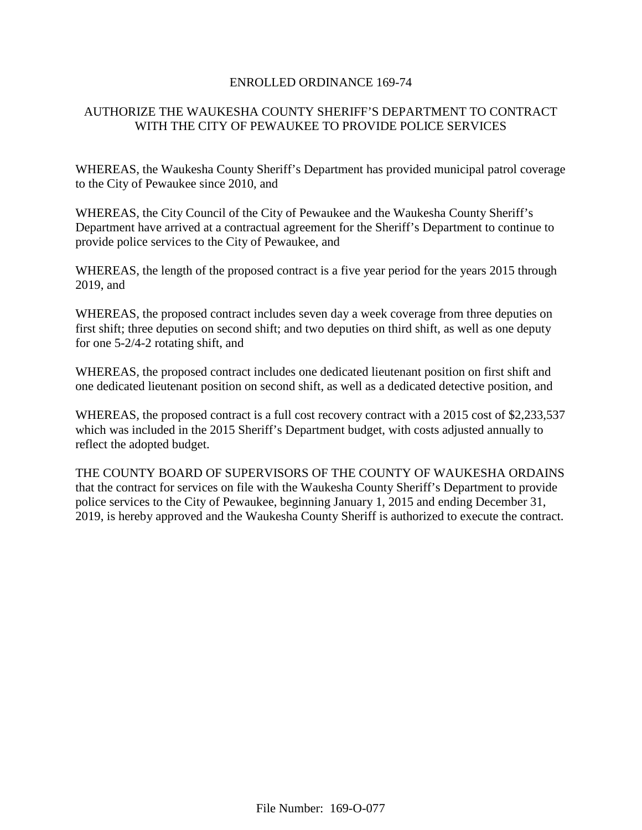#### ENROLLED ORDINANCE 169-74

# AUTHORIZE THE WAUKESHA COUNTY SHERIFF'S DEPARTMENT TO CONTRACT WITH THE CITY OF PEWAUKEE TO PROVIDE POLICE SERVICES

WHEREAS, the Waukesha County Sheriff's Department has provided municipal patrol coverage to the City of Pewaukee since 2010, and

WHEREAS, the City Council of the City of Pewaukee and the Waukesha County Sheriff's Department have arrived at a contractual agreement for the Sheriff's Department to continue to provide police services to the City of Pewaukee, and

WHEREAS, the length of the proposed contract is a five year period for the years 2015 through 2019, and

WHEREAS, the proposed contract includes seven day a week coverage from three deputies on first shift; three deputies on second shift; and two deputies on third shift, as well as one deputy for one 5-2/4-2 rotating shift, and

WHEREAS, the proposed contract includes one dedicated lieutenant position on first shift and one dedicated lieutenant position on second shift, as well as a dedicated detective position, and

WHEREAS, the proposed contract is a full cost recovery contract with a 2015 cost of \$2,233,537 which was included in the 2015 Sheriff's Department budget, with costs adjusted annually to reflect the adopted budget.

THE COUNTY BOARD OF SUPERVISORS OF THE COUNTY OF WAUKESHA ORDAINS that the contract for services on file with the Waukesha County Sheriff's Department to provide police services to the City of Pewaukee, beginning January 1, 2015 and ending December 31, 2019, is hereby approved and the Waukesha County Sheriff is authorized to execute the contract.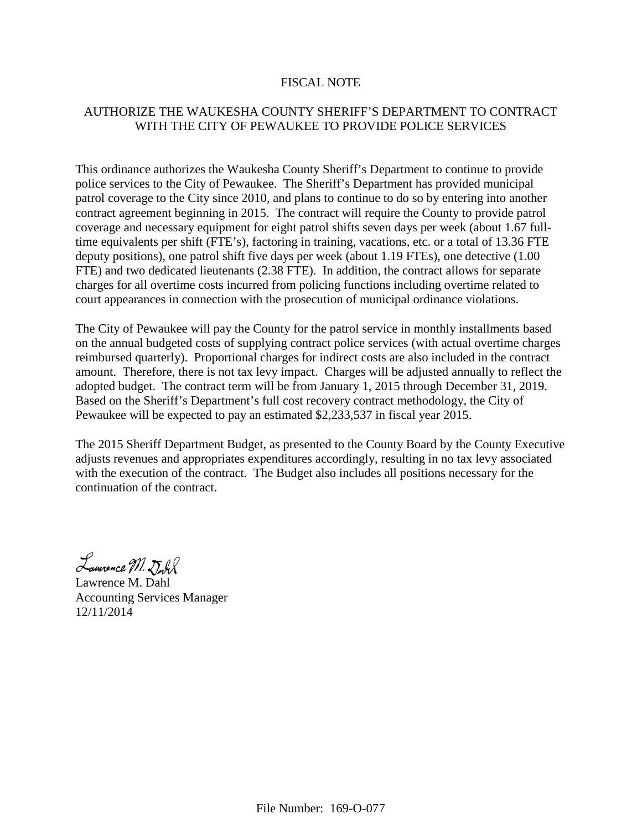#### FISCAL NOTE

# AUTHORIZE THE WAUKESHA COUNTY SHERIFF'S DEPARTMENT TO CONTRACT WITH THE CITY OF PEWAUKEE TO PROVIDE POLICE SERVICES

This ordinance authorizes the Waukesha County Sheriff's Department to continue to provide police services to the City of Pewaukee. The Sheriff's Department has provided municipal patrol coverage to the City since 2010, and plans to continue to do so by entering into another contract agreement beginning in 2015. The contract will require the County to provide patrol coverage and necessary equipment for eight patrol shifts seven days per week (about 1.67 fulltime equivalents per shift (FTE's), factoring in training, vacations, etc. or a total of 13.36 FTE deputy positions), one patrol shift five days per week (about 1.19 FTEs), one detective (1.00 FTE) and two dedicated lieutenants (2.38 FTE). In addition, the contract allows for separate charges for all overtime costs incurred from policing functions including overtime related to court appearances in connection with the prosecution of municipal ordinance violations.

The City of Pewaukee will pay the County for the patrol service in monthly installments based on the annual budgeted costs of supplying contract police services (with actual overtime charges reimbursed quarterly). Proportional charges for indirect costs are also included in the contract amount. Therefore, there is not tax levy impact. Charges will be adjusted annually to reflect the adopted budget. The contract term will be from January 1, 2015 through December 31, 2019. Based on the Sheriff's Department's full cost recovery contract methodology, the City of Pewaukee will be expected to pay an estimated \$2,233,537 in fiscal year 2015.

The 2015 Sheriff Department Budget, as presented to the County Board by the County Executive adjusts revenues and appropriates expenditures accordingly, resulting in no tax levy associated with the execution of the contract. The Budget also includes all positions necessary for the continuation of the contract.

Lamonce M. Dull

Lawrence M. Dahl Accounting Services Manager 12/11/2014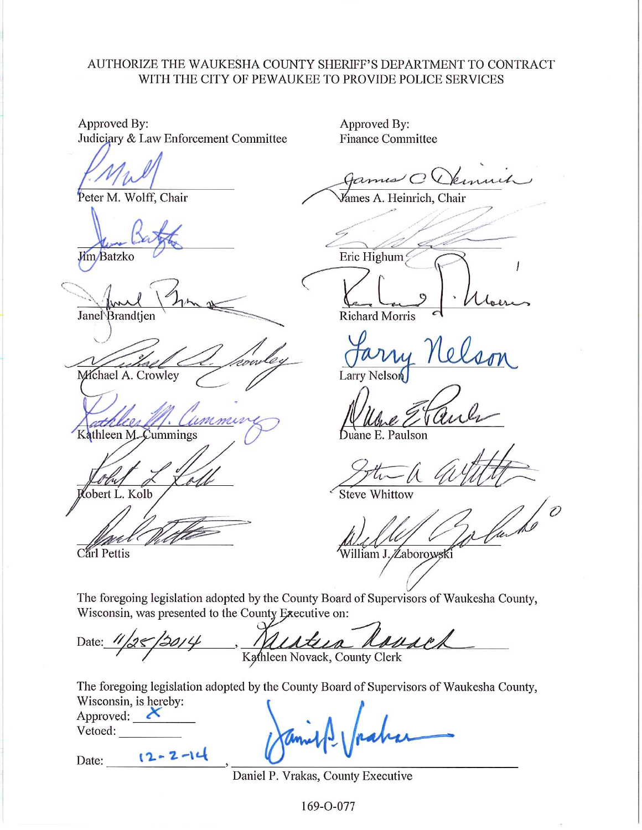## AUTHORIZE THE WAUKESHA COUNTY SHERIFF'S DEPARTMENT TO CONTRACT WITH THE CITY OF PEWAUKEE TO PROVIDE POLICE SERVICES

Approved By: Approved By: Judiciary & Law Enforcement Committee **Finance Committee** ノロい Vames A. Heinrich, Chair Peter M. Wolff, Chair Eric Highum **Jim**/Batzko Janel Brandtjen **Richard Morris** Michael A. Crowley Larry Nelson Kathleen M. Cummings uane E. Paulson obert L. Kolb **Steve Whittow** Carl Pettis William J. Zaborowski

The foregoing legislation adopted by the County Board of Supervisors of Waukesha County, Wisconsin, was presented to the County Executive on:

Date: Kathleen Novack, County Clerk

The foregoing legislation adopted by the County Board of Supervisors of Waukesha County, Wisconsin is hereby:

 $12 - 2 - 14$ 

Date:

Daniel P. Vrakas, County Executive

169-O-077